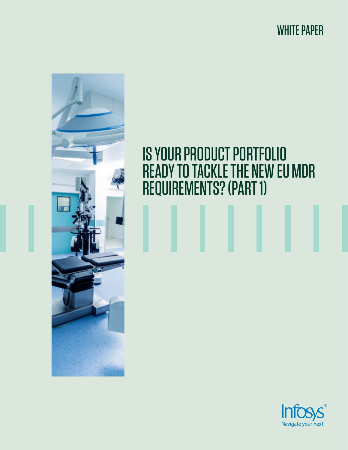WHITE PAPER



# IS YOUR PRODUCT PORTFOLIO READY TO TACKLE THE NEW EU MDR REQUIREMENTS? (PART 1)

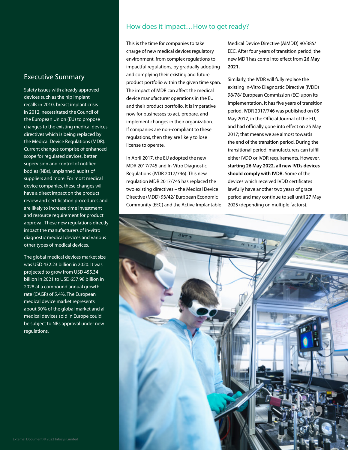#### Executive Summary

Safety issues with already approved devices such as the hip implant recalls in 2010, breast implant crisis in 2012, necessitated the Council of the European Union (EU) to propose changes to the existing medical devices directives which is being replaced by the Medical Device Regulations (MDR). Current changes comprise of enhanced scope for regulated devices, better supervision and control of notified bodies (NBs), unplanned audits of suppliers and more. For most medical device companies, these changes will have a direct impact on the product review and certification procedures and are likely to increase time investment and resource requirement for product approval. These new regulations directly impact the manufacturers of in-vitro diagnostic medical devices and various other types of medical devices.

The global medical devices market size was USD 432.23 billion in 2020. It was projected to grow from USD 455.34 billion in 2021 to USD 657.98 billion in 2028 at a compound annual growth rate (CAGR) of 5.4%. The European medical device market represents about 30% of the global market and all medical devices sold in Europe could be subject to NBs approval under new regulations.

#### How does it impact…How to get ready?

This is the time for companies to take charge of new medical devices regulatory environment, from complex regulations to impactful regulations, by gradually adopting and complying their existing and future product portfolio within the given time span. The impact of MDR can affect the medical device manufacturer operations in the EU and their product portfolio. It is imperative now for businesses to act, prepare, and implement changes in their organization. If companies are non-compliant to these regulations, then they are likely to lose license to operate.

In April 2017, the EU adopted the new MDR 2017/745 and In-Vitro Diagnostic Regulations (IVDR 2017/746). This new regulation MDR 2017/745 has replaced the two existing directives – the Medical Device Directive (MDD) 93/42/ European Economic Community (EEC) and the Active Implantable

Medical Device Directive (AIMDD) 90/385/ EEC. After four years of transition period, the new MDR has come into effect from **26 May 2021.**

Similarly, the IVDR will fully replace the existing In-Vitro Diagnostic Directive (IVDD) 98/78/ European Commission (EC) upon its implementation. It has five years of transition period. IVDR 2017/746 was published on 05 May 2017, in the Official Journal of the EU, and had officially gone into effect on 25 May 2017; that means we are almost towards the end of the transition period. During the transitional period, manufacturers can fulfill either IVDD or IVDR requirements. However, **starting 26 May 2022, all new IVDs devices should comply with IVDR.** Some of the devices which received IVDD certificates lawfully have another two years of grace period and may continue to sell until 27 May 2025 (depending on multiple factors).

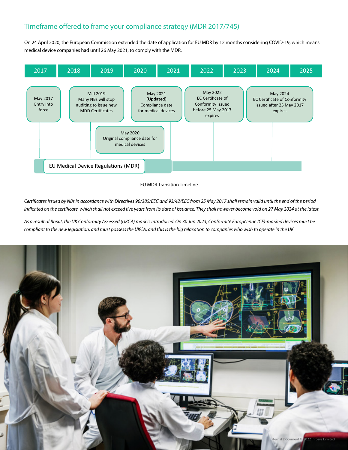# Timeframe offered to frame your compliance strategy (MDR 2017/745)

On 24 April 2020, the European Commission extended the date of application for EU MDR by 12 months considering COVID-19, which means medical device companies had until 26 May 2021, to comply with the MDR.



#### EU MDR Transition Timeline

*Certificates issued by NBs in accordance with Directives 90/385/EEC and 93/42/EEC from 25 May 2017 shall remain valid until the end of the period indicated on the certificate, which shall not exceed five years from its date of issuance. They shall however become void on 27 May 2024 at the latest.*

*As a result of Brexit, the UK Conformity Assessed (UKCA) mark is introduced. On 30 Jun 2023, Conformité Européenne (CE)-marked devices must be compliant to the new legislation, and must possess the UKCA, and this is the big relaxation to companies who wish to operate in the UK.*